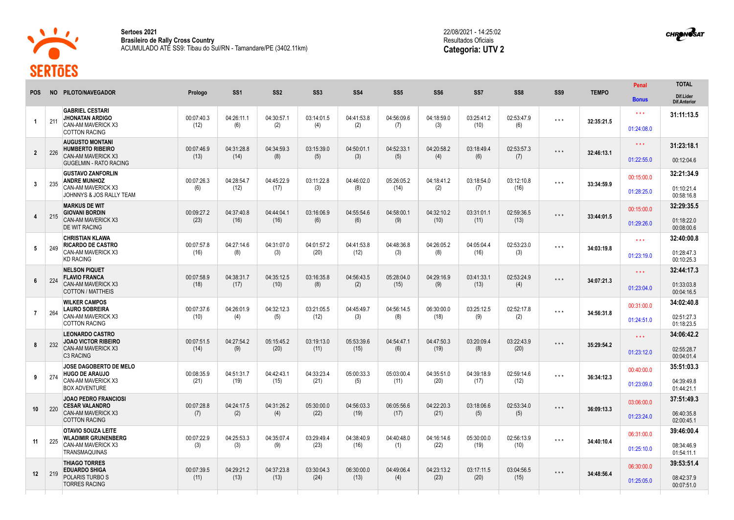

**Sertoes 2021 Brasileiro de Rally Cross Country** ACUMULADO ATÉ SS9: Tibau do Sul/RN - Tamandare/PE (3402.11km) 22/08/2021 - 14:25:02 Resultados Oficiais **Categoria: UTV 2**



| NO PILOTO/NAVEGADOR<br>SS <sub>1</sub><br>SS <sub>2</sub><br>SS <sub>3</sub><br>SS4<br>SS <sub>5</sub><br>SS <sub>6</sub><br>SS <sub>7</sub><br>SS <sub>8</sub><br>SS9<br><b>TEMPO</b><br><b>POS</b><br>Prologo<br><b>Bonus</b><br><b>GABRIEL CESTARI</b><br>$* * *$<br><b>JHONATAN ARDIGO</b><br>00:07:40.3<br>04:26:11.1<br>04:30:57.1<br>03:14:01.5<br>04:41:53.8<br>04:56:09.6<br>04:18:59.0<br>03:25:41.2<br>02:53:47.9<br>$\star$ $\star$ $\star$<br>211<br>32:35:21.5<br>$\overline{1}$<br>CAN-AM MAVERICK X3<br>(12)<br>(6)<br>(2)<br>(4)<br>(2)<br>(3)<br>(10)<br>(7)<br>(6)<br>01:24:08.0<br><b>COTTON RACING</b><br><b>AUGUSTO MONTANI</b><br>$\star\star\star$<br>00:07:46.9<br>04:31:28.8<br>04:34:59.3<br>03:15:39.0<br>04:50:01.1<br>04:52:33.1<br>04:20:58.2<br>03:18:49.4<br>02:53:57.3<br><b>HUMBERTO RIBEIRO</b><br>$***$<br>226<br>$\overline{2}$<br>32:46:13.1<br><b>CAN-AM MAVERICK X3</b><br>(5)<br>(3)<br>(5)<br>(6)<br>(13)<br>(14)<br>(8)<br>(4)<br>(7)<br>01:22:55.0<br><b>GUGELMIN - RATO RACING</b><br><b>GUSTAVO ZANFORLIN</b><br>00:15:00.0<br>00:07:26.3<br>04:28:54.7<br>04:45:22.9<br>03:11:22.8<br>04:46:02.0<br>05:26:05.2<br>04:18:41.2<br>03:18:54.0<br>03:12:10.8<br><b>ANDRE MUNHOZ</b><br>$***$<br>$\mathbf{3}$<br>235<br>33:34:59.9<br>CAN-AM MAVERICK X3<br>(12)<br>(17)<br>(3)<br>(8)<br>(14)<br>(2)<br>(6)<br>(7)<br>(16)<br>01:28:25.0<br>JOHNNYS & JOS RALLY TEAM<br><b>MARKUS DE WIT</b><br>00:15:00.0<br>00:09:27.2<br>04:37:40.8<br>04:44:04.1<br>03:16:06.9<br>04:55:54.6<br>04:58:00.1<br>04:32:10.2<br>03:31:01.1<br>02:59:36.5<br><b>GIOVANI BORDIN</b><br>$***$<br>215<br>33:44:01.5<br>4<br>CAN-AM MAVERICK X3<br>(23)<br>(6)<br>(10)<br>(16)<br>(16)<br>(6)<br>(9)<br>(11)<br>(13)<br>01:29:26.0<br><b>DE WIT RACING</b><br><b>CHRISTIAN KLAWA</b><br>$\star \star \star$<br><b>RICARDO DE CASTRO</b><br>00:07:57.8<br>04:27:14.6<br>04:31:07.0<br>04:01:57.2<br>04:41:53.8<br>04:48:36.8<br>04:26:05.2<br>04:05:04.4<br>02:53:23.0<br>$***$<br>5<br>249<br>34:03:19.8<br>CAN-AM MAVERICK X3<br>(16)<br>(20)<br>(12)<br>(16)<br>(8)<br>(3)<br>(3)<br>(8)<br>(3)<br>01:23:19.0<br><b>KD RACING</b> | <b>TOTAL</b>                     |
|------------------------------------------------------------------------------------------------------------------------------------------------------------------------------------------------------------------------------------------------------------------------------------------------------------------------------------------------------------------------------------------------------------------------------------------------------------------------------------------------------------------------------------------------------------------------------------------------------------------------------------------------------------------------------------------------------------------------------------------------------------------------------------------------------------------------------------------------------------------------------------------------------------------------------------------------------------------------------------------------------------------------------------------------------------------------------------------------------------------------------------------------------------------------------------------------------------------------------------------------------------------------------------------------------------------------------------------------------------------------------------------------------------------------------------------------------------------------------------------------------------------------------------------------------------------------------------------------------------------------------------------------------------------------------------------------------------------------------------------------------------------------------------------------------------------------------------------------------------------------------------------------------------------------------------------------------------------------------------------------------------------------------------------------------------------------------------------------------------------------------------------------------------|----------------------------------|
|                                                                                                                                                                                                                                                                                                                                                                                                                                                                                                                                                                                                                                                                                                                                                                                                                                                                                                                                                                                                                                                                                                                                                                                                                                                                                                                                                                                                                                                                                                                                                                                                                                                                                                                                                                                                                                                                                                                                                                                                                                                                                                                                                            | Dif.Lider<br><b>Dif.Anterior</b> |
|                                                                                                                                                                                                                                                                                                                                                                                                                                                                                                                                                                                                                                                                                                                                                                                                                                                                                                                                                                                                                                                                                                                                                                                                                                                                                                                                                                                                                                                                                                                                                                                                                                                                                                                                                                                                                                                                                                                                                                                                                                                                                                                                                            | 31:11:13.5                       |
|                                                                                                                                                                                                                                                                                                                                                                                                                                                                                                                                                                                                                                                                                                                                                                                                                                                                                                                                                                                                                                                                                                                                                                                                                                                                                                                                                                                                                                                                                                                                                                                                                                                                                                                                                                                                                                                                                                                                                                                                                                                                                                                                                            |                                  |
|                                                                                                                                                                                                                                                                                                                                                                                                                                                                                                                                                                                                                                                                                                                                                                                                                                                                                                                                                                                                                                                                                                                                                                                                                                                                                                                                                                                                                                                                                                                                                                                                                                                                                                                                                                                                                                                                                                                                                                                                                                                                                                                                                            | 31:23:18.1                       |
|                                                                                                                                                                                                                                                                                                                                                                                                                                                                                                                                                                                                                                                                                                                                                                                                                                                                                                                                                                                                                                                                                                                                                                                                                                                                                                                                                                                                                                                                                                                                                                                                                                                                                                                                                                                                                                                                                                                                                                                                                                                                                                                                                            | 00:12:04.6                       |
|                                                                                                                                                                                                                                                                                                                                                                                                                                                                                                                                                                                                                                                                                                                                                                                                                                                                                                                                                                                                                                                                                                                                                                                                                                                                                                                                                                                                                                                                                                                                                                                                                                                                                                                                                                                                                                                                                                                                                                                                                                                                                                                                                            | 32:21:34.9                       |
|                                                                                                                                                                                                                                                                                                                                                                                                                                                                                                                                                                                                                                                                                                                                                                                                                                                                                                                                                                                                                                                                                                                                                                                                                                                                                                                                                                                                                                                                                                                                                                                                                                                                                                                                                                                                                                                                                                                                                                                                                                                                                                                                                            | 01:10:21.4<br>00:58:16.8         |
|                                                                                                                                                                                                                                                                                                                                                                                                                                                                                                                                                                                                                                                                                                                                                                                                                                                                                                                                                                                                                                                                                                                                                                                                                                                                                                                                                                                                                                                                                                                                                                                                                                                                                                                                                                                                                                                                                                                                                                                                                                                                                                                                                            | 32:29:35.5                       |
|                                                                                                                                                                                                                                                                                                                                                                                                                                                                                                                                                                                                                                                                                                                                                                                                                                                                                                                                                                                                                                                                                                                                                                                                                                                                                                                                                                                                                                                                                                                                                                                                                                                                                                                                                                                                                                                                                                                                                                                                                                                                                                                                                            | 01:18:22.0<br>00:08:00.6         |
|                                                                                                                                                                                                                                                                                                                                                                                                                                                                                                                                                                                                                                                                                                                                                                                                                                                                                                                                                                                                                                                                                                                                                                                                                                                                                                                                                                                                                                                                                                                                                                                                                                                                                                                                                                                                                                                                                                                                                                                                                                                                                                                                                            | 32:40:00.8                       |
|                                                                                                                                                                                                                                                                                                                                                                                                                                                                                                                                                                                                                                                                                                                                                                                                                                                                                                                                                                                                                                                                                                                                                                                                                                                                                                                                                                                                                                                                                                                                                                                                                                                                                                                                                                                                                                                                                                                                                                                                                                                                                                                                                            | 01:28:47.3<br>00:10:25.3         |
| <b>NELSON PIQUET</b><br>$\star \star \star$<br><b>FLAVIO FRANCA</b><br>00:07:58.9<br>04:38:31.7<br>04:35:12.5<br>03:16:35.8<br>04:56:43.5<br>05:28:04.0<br>04:29:16.9<br>03:41:33.1<br>02:53:24.9<br>$***$                                                                                                                                                                                                                                                                                                                                                                                                                                                                                                                                                                                                                                                                                                                                                                                                                                                                                                                                                                                                                                                                                                                                                                                                                                                                                                                                                                                                                                                                                                                                                                                                                                                                                                                                                                                                                                                                                                                                                 | 32:44:17.3                       |
| 6<br>224<br>34:07:21.3<br><b>CAN-AM MAVERICK X3</b><br>(18)<br>(8)<br>(2)<br>(15)<br>(13)<br>(17)<br>(10)<br>(9)<br>(4)<br>01:23:04.0<br><b>COTTON / MATTHEIS</b>                                                                                                                                                                                                                                                                                                                                                                                                                                                                                                                                                                                                                                                                                                                                                                                                                                                                                                                                                                                                                                                                                                                                                                                                                                                                                                                                                                                                                                                                                                                                                                                                                                                                                                                                                                                                                                                                                                                                                                                          | 01:33:03.8<br>00:04:16.5         |
| <b>WILKER CAMPOS</b><br>00:31:00.0<br>00:07:37.6<br>04:26:01.9<br>04:32:12.3<br>03:21:05.5<br>04:45:49.7<br>04:56:14.5<br>06:30:00.0<br>03:25:12.5<br>02:52:17.8<br><b>LAURO SOBREIRA</b><br>$***$                                                                                                                                                                                                                                                                                                                                                                                                                                                                                                                                                                                                                                                                                                                                                                                                                                                                                                                                                                                                                                                                                                                                                                                                                                                                                                                                                                                                                                                                                                                                                                                                                                                                                                                                                                                                                                                                                                                                                         | 34:02:40.8                       |
| $\overline{7}$<br>264<br>34:56:31.8<br>CAN-AM MAVERICK X3<br>(3)<br>(10)<br>(4)<br>(5)<br>(12)<br>(8)<br>(18)<br>(9)<br>(2)<br>01:24:51.0<br><b>COTTON RACING</b>                                                                                                                                                                                                                                                                                                                                                                                                                                                                                                                                                                                                                                                                                                                                                                                                                                                                                                                                                                                                                                                                                                                                                                                                                                                                                                                                                                                                                                                                                                                                                                                                                                                                                                                                                                                                                                                                                                                                                                                          | 02:51:27.3<br>01:18:23.5         |
| <b>LEONARDO CASTRO</b><br>$\star \star \star$<br>00:07:51.5<br>04:27:54.2<br>03:19:13.0<br>05:53:39.6<br>04:47:50.3<br>03:20:09.4<br>03:22:43.9<br><b>JOAO VICTOR RIBEIRO</b><br>05:15:45.2<br>04:54:47.1<br>$***$                                                                                                                                                                                                                                                                                                                                                                                                                                                                                                                                                                                                                                                                                                                                                                                                                                                                                                                                                                                                                                                                                                                                                                                                                                                                                                                                                                                                                                                                                                                                                                                                                                                                                                                                                                                                                                                                                                                                         | 34:06:42.2                       |
| 232<br>8<br>35:29:54.2<br>CAN-AM MAVERICK X3<br>(20)<br>(8)<br>(14)<br>(9)<br>(11)<br>(15)<br>(6)<br>(19)<br>(20)<br>01:23:12.0<br>C3 RACING                                                                                                                                                                                                                                                                                                                                                                                                                                                                                                                                                                                                                                                                                                                                                                                                                                                                                                                                                                                                                                                                                                                                                                                                                                                                                                                                                                                                                                                                                                                                                                                                                                                                                                                                                                                                                                                                                                                                                                                                               | 02:55:28.7<br>00:04:01.4         |
| JOSE DAGOBERTO DE MELO<br>00:40:00.0<br>04:33:23.4<br>02:59:14.6<br>00:08:35.9<br>04:51:31.7<br>04:42:43.1<br>05:00:33.3<br>05:03:00.4<br>04:35:51.0<br>04:39:18.9<br><b>HUGO DE ARAUJO</b><br>$***$                                                                                                                                                                                                                                                                                                                                                                                                                                                                                                                                                                                                                                                                                                                                                                                                                                                                                                                                                                                                                                                                                                                                                                                                                                                                                                                                                                                                                                                                                                                                                                                                                                                                                                                                                                                                                                                                                                                                                       | 35:51:03.3                       |
| 9<br>274<br>36:34:12.3<br>CAN-AM MAVERICK X3<br>(21)<br>(21)<br>(19)<br>(15)<br>(5)<br>(11)<br>(20)<br>(17)<br>(12)<br>01:23:09.0<br><b>BOX ADVENTURE</b>                                                                                                                                                                                                                                                                                                                                                                                                                                                                                                                                                                                                                                                                                                                                                                                                                                                                                                                                                                                                                                                                                                                                                                                                                                                                                                                                                                                                                                                                                                                                                                                                                                                                                                                                                                                                                                                                                                                                                                                                  | 04:39:49.8<br>01:44:21.1         |
| <b>JOAO PEDRO FRANCIOSI</b><br>03:06:00.0<br><b>CESAR VALANDRO</b><br>00:07:28.8<br>04:31:26.2<br>05:30:00.0<br>04:56:03.3<br>06:05:56.6<br>04:22:20.3<br>03:18:06.6<br>02:53:34.0<br>04:24:17.5<br>$***$                                                                                                                                                                                                                                                                                                                                                                                                                                                                                                                                                                                                                                                                                                                                                                                                                                                                                                                                                                                                                                                                                                                                                                                                                                                                                                                                                                                                                                                                                                                                                                                                                                                                                                                                                                                                                                                                                                                                                  | 37:51:49.3                       |
| 10 <sup>°</sup><br>220<br>36:09:13.3<br>CAN-AM MAVERICK X3<br>(7)<br>(2)<br>(4)<br>(22)<br>(19)<br>(17)<br>(21)<br>(5)<br>(5)<br>01:23:24.0<br><b>COTTON RACING</b>                                                                                                                                                                                                                                                                                                                                                                                                                                                                                                                                                                                                                                                                                                                                                                                                                                                                                                                                                                                                                                                                                                                                                                                                                                                                                                                                                                                                                                                                                                                                                                                                                                                                                                                                                                                                                                                                                                                                                                                        | 06:40:35.8<br>02:00:45.1         |
| OTAVIO SOUZA LEITE<br>06:31:00.0<br>00:07:22.9<br>04:25:53.3<br>04:35:07.4<br>03:29:49.4<br>04:38:40.9<br>04:40:48.0<br>04:16:14.6<br>05:30:00.0<br>02:56:13.9<br><b>WLADIMIR GRUNENBERG</b><br>$***$                                                                                                                                                                                                                                                                                                                                                                                                                                                                                                                                                                                                                                                                                                                                                                                                                                                                                                                                                                                                                                                                                                                                                                                                                                                                                                                                                                                                                                                                                                                                                                                                                                                                                                                                                                                                                                                                                                                                                      | 39:46:00.4                       |
| 225<br>11<br>34:40:10.4<br>CAN-AM MAVERICK X3<br>(23)<br>(3)<br>(3)<br>(9)<br>(16)<br>(1)<br>(22)<br>(19)<br>(10)<br>01:25:10.0<br><b>TRANSMAQUINAS</b>                                                                                                                                                                                                                                                                                                                                                                                                                                                                                                                                                                                                                                                                                                                                                                                                                                                                                                                                                                                                                                                                                                                                                                                                                                                                                                                                                                                                                                                                                                                                                                                                                                                                                                                                                                                                                                                                                                                                                                                                    | 08:34:46.9<br>01:54:11.1         |
| <b>THIAGO TORRES</b><br>06:30:00.0<br>04:29:21.2<br>04:37:23.8<br>03:30:04.3<br>06:30:00.0<br>04:49:06.4<br><b>EDUARDO SHIGA</b><br>00:07:39.5<br>04:23:13.2<br>03:17:11.5<br>03:04:56.5<br>$***$                                                                                                                                                                                                                                                                                                                                                                                                                                                                                                                                                                                                                                                                                                                                                                                                                                                                                                                                                                                                                                                                                                                                                                                                                                                                                                                                                                                                                                                                                                                                                                                                                                                                                                                                                                                                                                                                                                                                                          | 39:53:51.4                       |
| 219<br>12<br>34:48:56.4<br>POLARIS TURBO S<br>(11)<br>(13)<br>(13)<br>(24)<br>(13)<br>(4)<br>(23)<br>(20)<br>(15)<br>01:25:05.0<br><b>TORRES RACING</b>                                                                                                                                                                                                                                                                                                                                                                                                                                                                                                                                                                                                                                                                                                                                                                                                                                                                                                                                                                                                                                                                                                                                                                                                                                                                                                                                                                                                                                                                                                                                                                                                                                                                                                                                                                                                                                                                                                                                                                                                    | 08:42:37.9<br>00:07:51.0         |